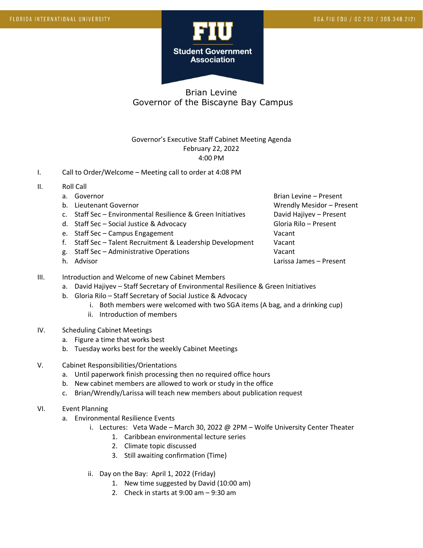

# Brian Levine Governor of the Biscayne Bay Campus

### Governor's Executive Staff Cabinet Meeting Agenda February 22, 2022 4:00 PM

- I. Call to Order/Welcome Meeting call to order at 4:08 PM
- II. Roll Call
	- a. Governor Brian Levine Present
	-
	- c. Staff Sec Environmental Resilience & Green Initiatives David Hajiyev Present
	- d. Staff Sec Social Justice & Advocacy Gloria Rilo Present
	- e. Staff Sec Campus Engagement Vacant
	- f. Staff Sec Talent Recruitment & Leadership Development Vacant
	- g. Staff Sec Administrative Operations Vacant
	-

b. Lieutenant Governor Communication Communication Communication Communication Communication Messachusetts and M h. Advisor Larissa James – Present

- III. Introduction and Welcome of new Cabinet Members
	- a. David Hajiyev Staff Secretary of Environmental Resilience & Green Initiatives
	- b. Gloria Rilo Staff Secretary of Social Justice & Advocacy
		- i. Both members were welcomed with two SGA items (A bag, and a drinking cup)
		- ii. Introduction of members
- IV. Scheduling Cabinet Meetings
	- a. Figure a time that works best
	- b. Tuesday works best for the weekly Cabinet Meetings
- V. Cabinet Responsibilities/Orientations
	- a. Until paperwork finish processing then no required office hours
	- b. New cabinet members are allowed to work or study in the office
	- c. Brian/Wrendly/Larissa will teach new members about publication request
- VI. Event Planning
	- a. Environmental Resilience Events
		- i. Lectures: Veta Wade March 30, 2022 @ 2PM Wolfe University Center Theater
			- 1. Caribbean environmental lecture series
			- 2. Climate topic discussed
			- 3. Still awaiting confirmation (Time)
		- ii. Day on the Bay: April 1, 2022 (Friday)
			- 1. New time suggested by David (10:00 am)
			- 2. Check in starts at 9:00 am 9:30 am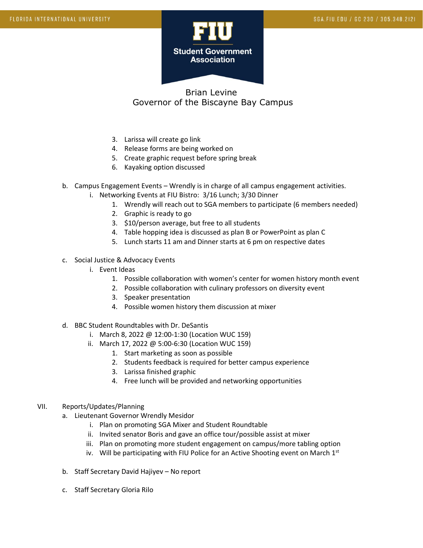

## Brian Levine Governor of the Biscayne Bay Campus

- 3. Larissa will create go link
- 4. Release forms are being worked on
- 5. Create graphic request before spring break
- 6. Kayaking option discussed
- b. Campus Engagement Events Wrendly is in charge of all campus engagement activities.
	- i. Networking Events at FIU Bistro: 3/16 Lunch; 3/30 Dinner
		- 1. Wrendly will reach out to SGA members to participate (6 members needed)
		- 2. Graphic is ready to go
		- 3. \$10/person average, but free to all students
		- 4. Table hopping idea is discussed as plan B or PowerPoint as plan C
		- 5. Lunch starts 11 am and Dinner starts at 6 pm on respective dates
- c. Social Justice & Advocacy Events
	- i. Event Ideas
		- 1. Possible collaboration with women's center for women history month event
		- 2. Possible collaboration with culinary professors on diversity event
		- 3. Speaker presentation
		- 4. Possible women history them discussion at mixer
- d. BBC Student Roundtables with Dr. DeSantis
	- i. March 8, 2022 @ 12:00-1:30 (Location WUC 159)
	- ii. March 17, 2022 @ 5:00-6:30 (Location WUC 159)
		- 1. Start marketing as soon as possible
		- 2. Students feedback is required for better campus experience
		- 3. Larissa finished graphic
		- 4. Free lunch will be provided and networking opportunities

#### VII. Reports/Updates/Planning

- a. Lieutenant Governor Wrendly Mesidor
	- i. Plan on promoting SGA Mixer and Student Roundtable
	- ii. Invited senator Boris and gave an office tour/possible assist at mixer
	- iii. Plan on promoting more student engagement on campus/more tabling option
	- iv. Will be participating with FIU Police for an Active Shooting event on March  $1<sup>st</sup>$
- b. Staff Secretary David Hajiyev No report
- c. Staff Secretary Gloria Rilo